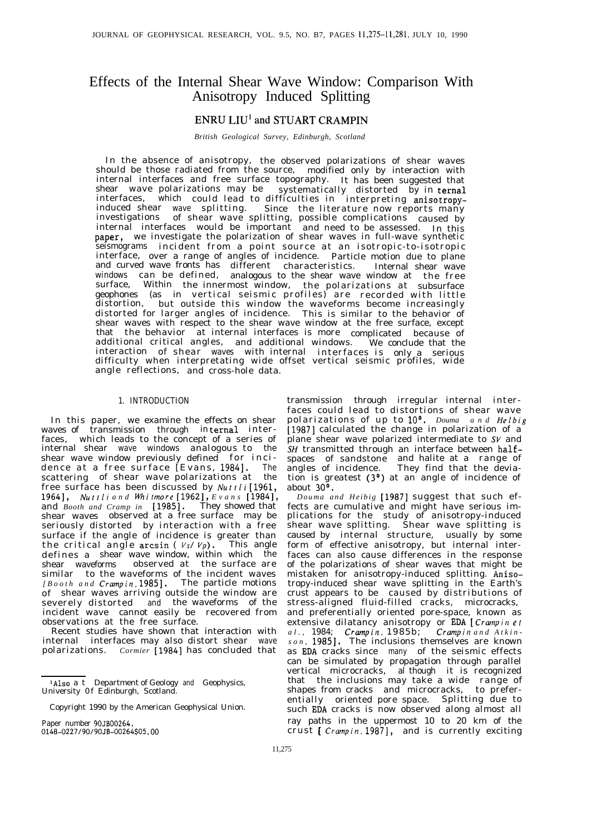# Effects of the Internal Shear Wave Window: Comparison With Anisotropy Induced Splitting

# ENRU LIU'and STUART CRAMPIN

*British Geological Survey, Edinburgh, Scotland*

In the absence of anisotropy, the observed polarizations of shear waves should be those radiated from the source, modified only by interaction with internal interfaces and free surface topography. It has been suggested that shear wave polarizations may be systematically distorted by in ternal interfaces, which could lead to difficulties in interpreting anisotropyinduced shear wave splitting. Since the literature now reports many investigations of shear wave splitting, possible complications caused by internal interfaces would be important and need to be assessed. In this paper? we investigate the polarization of shear waves in full-wave synthetic seismograms incident from a point source at an isotropic-to-isotropic interface, over a range of angles of incidence. Particle motion due to plane and curved wave fronts has different characteristics. Internal shear wave windows can be defined, analogous to the shear wave window at the free surface, Within the innermost window, the polarizations at subsurface geophones (as in vertical seismic profiles) are recorded with little distortion, but outside this window the waveforms become increasingly distorted for larger angles of incidence. This is similar to the behavior of shear waves with respect to the shear wave window at the free surface, except that the behavior at internal interfaces is more complicated because of additional critical angles, and additional windows. We conclude that the interaction of shear waves with internal interfaces is only a serious difficulty when interpretating wide offset vertical seismic profiles, wide angle reflections, and cross-hole data.

#### 1. INTRODUCTION

In this paper, we examine the effects on shear waves of transmission through in ternal interfaces, which leads to the concept of a series of internal shear wave windows analogous to the shear wave window previously defined for inci dence at a free surface [Evans, 1984]. The scattering of shear wave polarizations at the free surface has been discussed by *Nurrfi* [1961, 19641, *NurrIi and Whirmore [1962], Evans [1984],* and *Booth and Cramp in* [1985]. They showed that shear waves observed at a free surface may be seriously distorted by interaction with a free surface if the angle of incidence is greater than the critical angle arcsin ( $V_s/V_p$ ). This angle defines a shear wave window, within which the shear waveforms observed at the surface are similar to the waveforms of the incident waves *[Booth and Crampin, 19851.* The particle motions of shear waves arriving outside the window are severely distorted and the waveforms of the incident wave cannot easily be recovered from observations at the free surface.

Recent studies have shown that interaction with internal interfaces may also distort shear wave polarizations. *Cormier* [1984] has concluded that

transmission through irregular internal interfaces could lead to distortions of shear wave polarizations of up to 10'. *Douma and He/big* [1987] calculated the change in polarization of a plane shear wave polarized intermediate to SV and SH transmitted through an interface between halfspaces of sandstone and halite at a range of angles of incidence. They find that the deviation is greatest  $(3^{\circ})$  at an angle of incidence of about 30°.

*Douma and Heibig* [1987] suggest that such effects are cumulative and might have serious implications for the study of anisotropy-induced shear wave splitting. Shear wave splitting is caused by internal structure, usually by some form of effective anisotropy, but internal interfaces can also cause differences in the response of the polarizations of shear waves that might be mistaken for anisotropy-induced splitting. Anisotropy-induced shear wave splitting in the Earth's crust appears to be caused by distributions of stress-aligned fluid-filled cracks, microcracks, and preferentially oriented pore-space, known as extensive dilatancy anisotropy or EDA *[Crampin et al. ,* 1984; *Crampin,* 1985b ; *Crampin and Atkin son, 19851.* The inclusions themselves are known as EDA cracks since many of the seismic effects can be simulated by propagation through parallel vertical microcracks, al though it is recognized that the inclusions may take a wide range of shapes from cracks and microcracks, to preferentially oriented pore space. Splitting due to such EDA cracks is now observed along almost all ray paths in the uppermost 10 to 20 km of the crust [ *Crampin*, 1987], and is currently exciting

Also a t Department of Geology and Geophysics, University 0f Edinburgh, Scotland.

Copyright 1990 by the American Geophysical Union.

Paper number 90JB00264. 0148-0227/90/90JB-00264\$05 .oo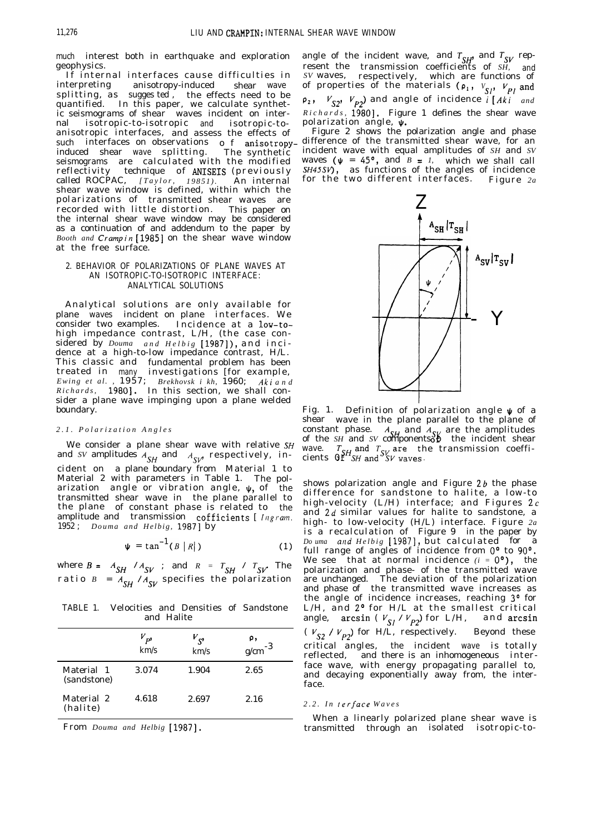much interest both in earthquake and exploration geophysics.

If internal interfaces cause difficulties in interpreting anisotropy-induced shear wave splitting, as sugges ted, the effects need to be quantified. In this paper, we calculate synthetic seismograms of shear waves incident on internal isotropic-to-isotropic and isotropic-toanisotropic interfaces, and assess the effects of such interfaces on observations o f anisotropy-<br>induced shear wave splitting. The synthetic induced shear wave splitting. seismograms are calculated with the modified reflectivity technique of ANISEIS(previously called ROCPAC, *[Taylor, 19851).* An internal shear wave window is defined, within which the polarizations of transmitted shear waves are recorded with little distortion. This paper on the internal shear wave window may be considered as a continuation of and addendum to the paper by *Booth and Crampin* [1985] on the shear wave window at the free surface.

# 2. BEHAVIOR OF POLARIZATIONS OF PLANE WAVES AT AN ISOTROPIC-TO-ISOTROPIC INTERFACE: ANALYTICAL SOLUTIONS

Analytical solutions are only available for plane waves incident on plane interfaces. We consider two examples. Incidence at a low-tohigh impedance contrast, L/H, (the case considered by *Douma and Helbig* [1987]), and inci dence at a high-to-low impedance contrast, H/L. This classic and fundamental problem has been treated in many investigations [for example, *Ewing et al. ,* 1957; *Brekhovsk i kh,* 1960; *A&i an d Richards,* 19801. In this section, we shall consider a plane wave impinging upon a plane welded boundary.

# *2.1. Polarization Angle s*

We consider a plane shear wave with relative *SH* and *SV* amplitudes  $A_{SH}$  and  $A_{SV}$  respectively, incident on a plane boundary from Material 1 to Material 2 with parameters in Table 1. The polarization angle or vibration angle,  $\psi$ , of the transmitted shear wave in the plane parallel to the plane of constant phase is related to the amplitude and transmission cofficients [ *Ingram*. 1952 ; *Douma and Helbig,* 19871 by

$$
\Psi = \tan^{-1}(B \mid R|)
$$
 (1)

where  $B = A_{SH} / A_{SV}$  ; and  $R = T_{SH} / T_{SV}$ . The ratio  $B = A_{SH} / A_{SV}$  specifies the polarization

TABLE 1. Velocities and Densities of Sandstone and Halite

|                           | $V_{\bm{p}}$<br>km/s | $V_{S'}$<br>km/s | ρ,<br>$g/cm^{-3}$ |  |
|---------------------------|----------------------|------------------|-------------------|--|
| Material 1<br>(sandstone) | 3.074                | 1.904            | 2.65              |  |
| Material 2<br>(halite)    | 4.618                | 2.697            | 2.16              |  |

From *Douma and Helbig* [1987].

angle of the incident wave, and  $T_{\text{cav}}$  and  $T_{\text{cav}}$  represent the transmission coefficients of *SH,* and *SV* waves, respectively, which are functions of of properties of the materials ( $\rho_1$ ,  $V_{SI}$ ,  $V_{Pl}$  and  $p_2$ ,  $V_{S2}$ ,  $V_{P2}$  and angle of incidence  $\overline{i}$  [Aki *and Richards,* 19801. Figure 1 defines the shear wave polarization angle,  $\psi$ .

Figure 2 shows the polarization angle and phase difference of the transmitted shear wave, for an incident wave with equal amplitudes of *SH* and *SV* waves  $(\psi = 45^{\circ}, \text{ and } B = 1, \text{ which we shall call})$ *SH45SV),* as functions of the angles of incidence for the two different interfaces . Figure *2a*



Fig. 1. Definition of polarization angle  $\psi$  of a shear wave in the plane parallel to the plane of constant phase.  $A_{\text{c}i}$  and  $A_{\text{c}i}$  are the amplitudes of the *SH* and *SV* components the incident shear wave. ) F^ the transmission coefficients  $0^{37}$ SH and  $^{9}$ SV waves.

shows polarization angle and Figure *2b* the phase difference for sandstone to halite, a low-to high-velocity (L/H) interface; and Figures 2c and *2d* similar values for halite to sandstone, a high- to low-velocity (H/L) interface. Figure *2a* is a recalculation of Figure 9 in the paper by *Do uma and Helbig* [1987], but calculated for a full range of angles of incidence from  $0^{\circ}$  to  $90^{\circ}$ . We see that at normal incidence  $(i = 0^{\circ})$ , the polarization and phase- of the transmitted wave are unchanged. The deviation of the polarization and phase of the transmitted wave increases as the angle of incidence increases, reaching 3<sup>°</sup> for L/H, and 2° for H/L at the smallest critical angle, arcsin ( $V_{S1}$  /  $V_{D2}$ ) for L/H, and arcsin ( $V_{S2}$  /  $V_{P2}$ ) for H/L, respectively. Beyond these critical angles, the incident wave is totally reflected, and there is an inhomogeneous interface wave, with energy propagating parallel to, and decaying exponentially away from, the interface.

## *2.2. In lerface Wave s*

When a linearly polarized plane shear wave is transmitted through an isolated isotropic-to-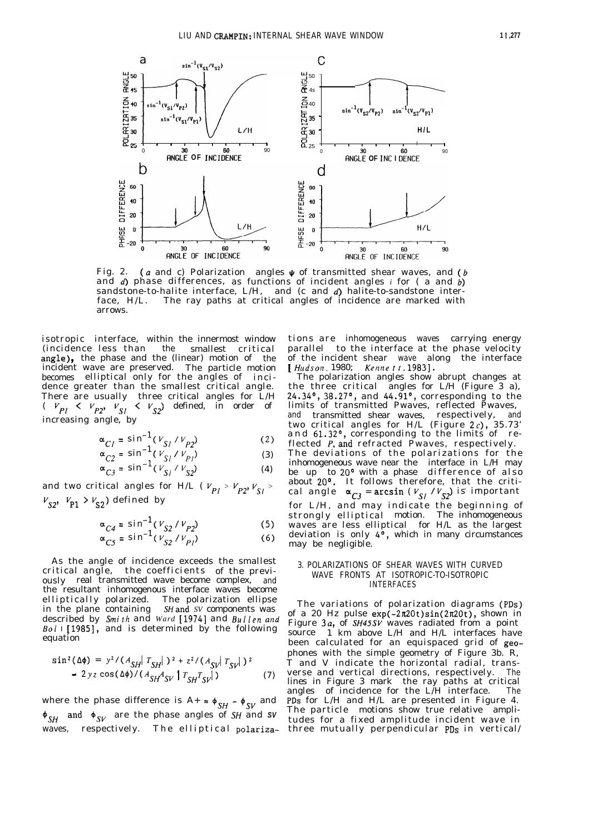

Fig. 2. (a and c) Polarization angles  $\psi$  of transmitted shear waves, and (b and d) phase differences, as functions of incident angles *i* for ( a and b) sandstone-to-halite interface, L/H, and (c and d) halite-to-sandstone interface, H/L. The ray paths at critical angles of incidence are marked with arrows.

isotropic interface, within the innermost window<br>(incidence less than the smallest critical the smallest critical angle), the phase and the (linear) motion of the incident wave are preserved. The particle motion becomes elliptical only for the angles of incidence greater than the smallest critical angle. There are usually three critical angles for L/H (  $V_{\mathbf{p}_1} \leftarrow V_{\mathbf{p}_2}$ ,  $V_{\mathbf{p}_3} \leftarrow V_{\mathbf{p}_4}$ ) defined, in order of increasing angle, by

$$
\alpha_{Cl} = \sin^{-1}(V_{S1} / V_{P2})
$$
 (2)

$$
\alpha_{C2} = \sin^{-1} (V_{S1} / V_{Pl})
$$
\n
$$
\alpha_{C3} = \sin^{-1} (V_{S1} / V_{S2})
$$
\n(3)

and two critical angles for H/L ( $V_{Pl} > V_{P2}$ ,  $V_{SI} >$  $v_{S2}$ ,  $v_{P1} > v_{S2}$ ) defined by

$$
\alpha_{C4} = \sin^{-1}(V_{S2} / V_{P2})
$$
 (5)

$$
\alpha_{C5} = \sin^{-1}(V_{S2} / V_{Pl})
$$
 (6)

As the angle of incidence exceeds the smallest critical angle, the coefficients of the previously real transmitted wave become complex, and the resultant inhomogenous interface waves become elliptically polarized. The polarization ellipse in the plane containing SHand *SV* components was described by *Smirh* and *Ward* [1974] and Buflen arid  $Bo1$  I [1985], and is determined by the following equation

$$
\sin^{2}(\Delta\phi) = y^{2}/(A_{SH}|T_{SH}|)^{2} + z^{2}/(A_{SH}|T_{SH}|)^{2}
$$
  
- 2yz cos( $\Delta\phi$ )/(A<sub>SH</sub>A<sub>SV</sub>|T<sub>SH</sub>T<sub>SV</sub>|) (7)

where the phase difference is  $A+ = \phi_{SH} - \phi_{SV}$  and  $\oint_{SH}$  and  $\oint_{SV}$  are the phase angles of SH and SV

tions are inhomogeneous waves carrying energy parallel to the interface at the phase velocity of the incident shear wave along the interface  $[Hudson, 1980; Kenne \ t \ t \ , 1983].$ 

The polarization angles show abrupt changes at the three critical angles for  $L/H$  (Figure 3 a), 24.34°, 38.27°, and 44.91°, corresponding to the limits of transmitted Pwaves, reflected Pwaves, and transmitted shear waves, respectively, and two critical angles for  $H/L$  (Figure 2c), 35.73' and 61.32°, corresponding to the limits of reflected P, and refracted Pwaves, respectively. The deviations of the polarizations for the inhomogeneous wave near the interface in L/H may be up to 20° with a phase difference of also about 20°. It follows therefore, that the critical angle  $\alpha_{C3} = \arcsin (V_{S1}/V_{S2})$  is important for L/H, and may indicate the beginning of strongly elliptical motion. The inhomogeneous waves are less elliptical for H/L as the largest deviation is only  $4^{\circ}$ , which in many circumstances may be negligible.

#### 3. POLARIZATIONS OF SHEAR WAVES WITH CURVED WAVE FRONTS AT ISOTROPIC-TO-ISOTROPIC INTERFACES

waves, respectively. The elliptical polariza-three mutually perpendicular PDs in vertical/The variations of polarization diagrams (PDs) of a 20 Hz pulse exp(-2K20t)sin(2n20t), shown in Figure 3a, of *SH45SV* waves radiated from a point source 1 km above L/H and H/L interfaces have been calculated for an equispaced grid of geophones with the simple geometry of Figure 3b. R, T and V indicate the horizontal radial, transverse and vertical directions, respectively. The lines in Figure 3 mark the ray paths at critical angles of incidence for the L/H interface. The PDs for L/H and H/L are presented in Figure 4. The particle motions show true relative amplitudes for a fixed amplitude incident wave in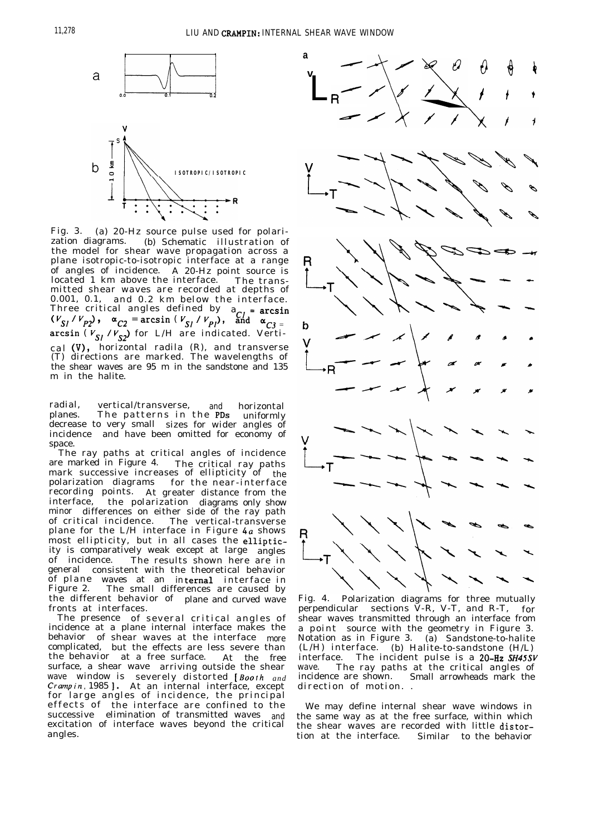

Fig. 3. (a) 20-Hz source pulse used for polari-(b) Schematic illustration of the model for shear wave propagation across a plane isotropic-to-isotropic interface at a range of angles of incidence. A 20-Hz point source is located 1 km above the interface. The transmitted shear waves are recorded at depths of 0.001, 0.1, and 0.2 km below the interface. Three critical angles defined by  $a_{CJ}$  = arcsin  $(V_{S} / V_{PJ})$ , and  $\alpha_{C3}$  =  $\alpha_{C3}$  /  $\alpha_{C2}$  /  $\alpha_{C3}$  = arcsin (  $V_{S1}$  /  $V_{S2}$  for L/H are indicated. Vertical W, horizontal radila (R), and transverse (T) directions are marked. The wavelengths of the shear waves are 95 m in the sandstone and 135 m in the halite.

radial, vertical/transverse, and horizontal<br>planes. The patterns in the PDs uniformly The patterns in the PDs uniformly decrease to very small sizes for wider angles of incidence and have been omitted for economy of space.

The ray paths at critical angles of incidence are marked in Figure 4. The critical ray paths mark successive increases of ellipticity of  $_{\rm the}$ polarization diagrams for the near-interface recording points. At greater distance from the interface, the polarization diagrams only show minor differences on either side of the ray path of critical incidence. The vertical-transverse plane for the L/H interface in Figure  $4a$  shows most ellipticity, but in all cases the ellipticity is comparatively weak except at large angles of incidence. The results shown here are in general consistent with the theoretical behavior of plane waves at an in**ternal** interface in Figure 2. The small differences are caused by the different behavior of plane and curved wave fronts at interfaces.

The presence of several critical angles of incidence at a plane internal interface makes the behavior of shear waves at the interface more complicated, but the effects are less severe than the behavior at a free surface. At the free surface, a shear wave arriving outside the shear wave window is severely distorted [Boorh *and Crumpin,* 1985 1. At an internal interface, except for large angles of incidence, the principal effects of the interface are confined to the successive elimination of transmitted waves and excitation of interface waves beyond the critical



Fig. 4. Polarization diagrams for three mutually perpendicular sections  $\tilde{V}$ -R, V-T, and R-T, for shear waves transmitted through an interface from a point source with the geometry in Figure 3. Notation as in Figure 3. (a) Sandstone-to-halite (L/H) interface. (b) Halite-to-sandstone (H/L) interface. The incident pulse is a 20-Hz SH45SV wave. The ray paths at the critical angles of incidence are shown. Small arrowheads mark the direction of motion. .

We may define internal shear wave windows in the same way as at the free surface, within which the shear waves are recorded with little distorangles. tion at the interface. Similar to the behavior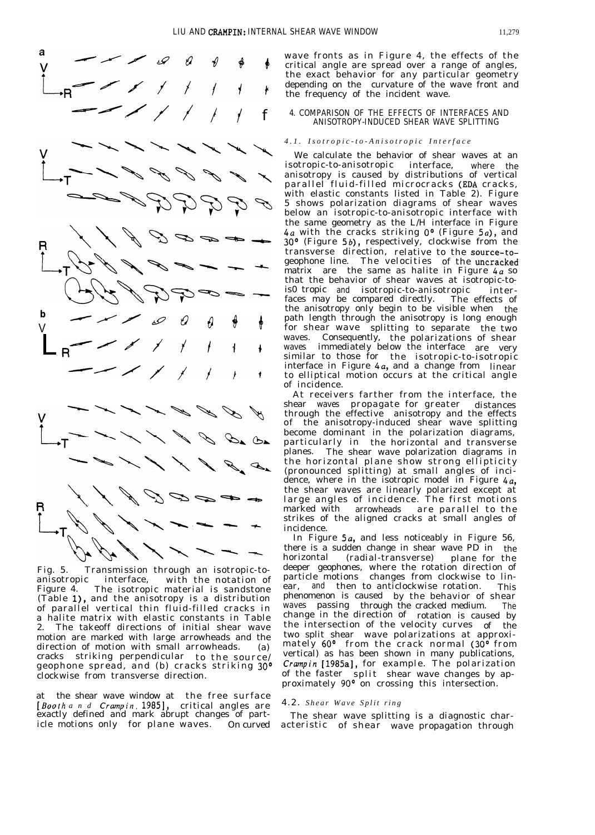



Fig. 5. Transmission through an isotropic-toanisotropic interface, with the notation of Figure 4. The isotropic material is sandstone (Table l), and the anisotropy is a distribution of parallel vertical thin fluid-filled cracks in a halite matrix with elastic constants in Table 2. The takeoff directions of initial shear wave motion are marked with large arrowheads and the direction of motion with small arrowheads. (a) cracks striking perpendicular to the source/ geophone spread, and (b) cracks striking 30° clockwise from transverse direction.

at the shear wave window at the free surface [Booth and *Crampin*, 1985], critical angles are exactly defined and mark abrupt changes of particle motions only for plane waves. On curved wave fronts as in Figure 4, the effects of the critical angle are spread over a range of angles, the exact behavior for any particular geometry depending on the curvature of the wave front and the frequency of the incident wave.

## 4. COMPARISON OF THE EFFECTS OF INTERFACES AND ANISOTROPY-INDUCED SHEAR WAVE SPLITTING

#### *4.1. Isotropic-to-Anisotropic Interfac e*

We calculate the behavior of shear waves at an isotropic-to-anisotropic interface, where the anisotropy is caused by distributions of vertical parallel fluid-filled microcracks (EDA cracks, with elastic constants listed in Table 2). Figure 5 shows polarization diagrams of shear waves below an isotropic-to-anisotropic interface with the same geometry as the L/H interface in Figure 4*a* with the cracks striking 0° (Figure 5*a*), and 30° (Figure 5b), respectively, clockwise from the transverse direction, relative to the source-togeophone line. The velocities of the uncracked matrix are the same as halite in Figure  $4a$  so that the behavior of shear waves at isotropic-tois0 tropic and isotropic-to-anisotropic interfaces may be compared directly. The effects of faces may be compared directly. The effects of the anisotropy only begin to be visible when the path length through the anisotropy is long enough for shear wave splitting to separate the two waves. Consequently, the polarizations of shear waves immediately below the interface are very similar to those for the isotropic-to-isotropic interface in Figure 4a, and a change from linear to elliptical motion occurs at the critical angle of incidence.

At receivers farther from the interface, the shear waves propagate for greater distances through the effective anisotropy and the effects of the anisotropy-induced shear wave splitting become dominant in the polarization diagrams, particularly in the horizontal and transverse<br>planes. The shear wave polarization diagrams in The shear wave polarization diagrams in the horizontal plane show strong ellipticity (pronounced splitting) at small angles of incidence, where in the isotropic model in Figure  $4a$ , the shear waves are linearly polarized except at large angles of incidence. The first motions marked with arrowheads are parallel to the strikes of the aligned cracks at small angles of incidence.

In Figure  $5a$ , and less noticeably in Figure 56, there is a sudden change in shear wave PD in the (radial-transverse) deeper geophones, where the rotation direction of particle motions changes from clockwise to linear, and then to anticlockwise rotation. This phenomenon is caused by the behavior of shear waves passing through the cracked medium. The change in the direction of rotation is caused by the intersection of the velocity curves of the two split shear wave polarizations at approximately 60° from the crack normal (30° from vertical) as has been shown in many publications, *Crampin* [1985a], for example. The polarization of the faster split shear wave changes by approximately 90<sup>°</sup> on crossing this intersection.

#### 4.2. *Shear Wave Split rin g*

The shear wave splitting is a diagnostic characteristic of shear wave propagation through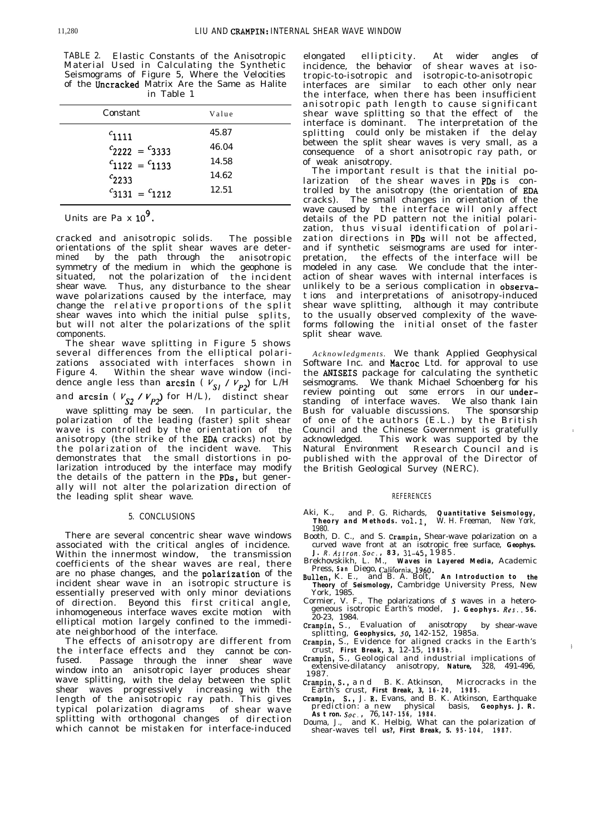TABLE 2. Elastic Constants of the Anisotropic Material Used in Calculating the Synthetic Seismograms of Figure 5, Where the Velocities of the Uncracked Matrix Are the Same as Halite in Table 1

| Constant              | Value |
|-----------------------|-------|
| $c_{1111}$            | 45.87 |
| $c_{2222} = c_{3333}$ | 46.04 |
| $c_{1122} = c_{1133}$ | 14.58 |
| $c_{2233}$            | 14.62 |
| $c_{3131} = c_{1212}$ | 12.51 |

Units are Pa x 
$$
10^9
$$
.

cracked and anisotropic solids. The possible orientations of the split shear waves are determined by the path through the anisotropic symmetry of the medium in which the geophone is situated, not the polarization of the incident shear wave. Thus, any disturbance to the shear wave polarizations caused by the interface, may change the relative proportions of the split shear waves into which the initial pulse splits, but will not alter the polarizations of the split components.

The shear wave splitting in Figure 5 shows several differences from the elliptical polarizations associated with interfaces shown in Figure 4. Within the shear wave window (incidence angle less than arcsin ( $V_{SI}$  /  $V_{P2}$ ) for L/H and arcsin ( $V_{S2} / V_{P2}$ ) for H/L), distinct shear

wave splitting may be seen. In particular, the polarization of the leading (faster) split shear wave is controlled by the orientation of the anisotropy (the strike of the EDA cracks) not by the polarization of the incident wave. This demonstrates that the small distortions in polarization introduced by the interface may modify the details of the pattern in the PDs, but generally will not alter the polarization direction of the leading split shear wave.

#### 5. CONCLUSIONS

There are several concentric shear wave windows associated with the critical angles of incidence. Within the innermost window, the transmission coefficients of the shear waves are real, there are no phase changes, and the polarization of the incident shear wave in an isotropic structure is essentially preserved with only minor deviations of direction. Beyond this first critical angle, inhomogeneous interface waves excite motion with elliptical motion largely confined to the immediate neighborhood of the interface.

The effects of anisotropy are different from the interface effects and they cannot be confused. Passage through the inner shear wave window into an anisotropic layer produces shear wave splitting, with the delay between the split shear waves progressively increasing with the length of the anisotropic ray path. This gives typical polarization diagrams of shear wave splitting with orthogonal changes of direction which cannot be mistaken for interface-induced

elongated ellipticity. At wider angles of incidence, the behavior of shear waves at isotropic-to-isotropic and isotropic-to-anisotropic interfaces are similar to each other only near the interface, when there has been insufficient anisotropic path length to cause significant shear wave splitting so that the effect of the interface is dominant. The interpretation of the splitting could only be mistaken if the delay between the split shear waves is very small, as a consequence of a short anisotropic ray path, or of weak anisotropy.

The important result is that the initial po $larization$  of the shear waves in PDs is controlled by the anisotropy (the orientation of EDA cracks). The small changes in orientation of the wave caused by the interface will only affect details of the PD pattern not the initial polarization, thus visual identification of polarization directions in PDs will not be affected, and if synthetic seismograms are used for interpretation, the effects of the interface will be modeled in any case. We conclude that the interaction of shear waves with internal interfaces is unlikely to be a serious complication in observat ions and interpretations of anisotropy-induced shear wave splitting, although it may contribute to the usually observed complexity of the waveforms following the initial onset of the faster split shear wave.

*Acknowledgments.* We thank Applied Geophysical Software Inc. and Macroc Ltd. for approval to use the ANISEIS package for calculating the synthetic seismograms. We thank Michael Schoenberg for his review pointing out some errors in our understanding of interface waves. We also thank Iain<br>Bush for valuable discussions. The sponsorship Bush for valuable discussions. of one of the authors (E.L.) by the British Council and the Chinese Government is gratefully acknowledged. This work was supported by the Natural Environment Research Council and is published with the approval of the Director of the British Geological Survey (NERC).

#### REFERENCES

- Aki, K., and P. G. Richards, *Quantitative Seismology, Theory and Methods.* vol. 1, W. H. Freeman, New York, 1980.
- Booth, D. C., and S. Crampin, Shear-wave polarization on a curved wave front at an isotropic free surface, *Geophys. J. R. Asrron. Sot. , 83, X1-45,* 1985 .
- Brekhovskikh, L. M., *Waves in Layered Media,* Academic Press, **San** Diego, **Caiifornia,1960.** Bullen, K. E., and B. A. Bolt, *An Introduction to the*
- *Theory* of *Seismology,* Cambridge University Press, New York, 1985.
- Cormier, V. F., The polarizations of S waves in a heterogeneous isotropic Earth's model, *J. Geophys. Res., 56 .* 20-23, 1984.
- Crampin, S., Evaluation of anisotropy by shear-wave splitting, *Geophysics, 50,* 142-152, 1985a.
- Crampin, S., Evidence for aligned cracks in the Earth's crust, *First Break, 3,* 12-15, **1985b.**
- Crampin, S., Geological and industrial implications of extensive-dilatancy anisotropy, *Nature,* 328, 491-496, 1987.
- Crampin, S., an d B. K. Atkinson, Microcracks in the Earth's crust, *First Break, 3,* **16-20, 1985.** Crampin, S., J. R. Evans, and B. K. Atkinson, Earthquake
- prediction: a new physical basis, *Geophys. J. R.*
- *As t ron. Sot. ,* 76, **147-156, 1984.** Douma, J., and K. Helbig, What can the polarization of shear-waves tell *us?, First Break, 5.* **95-104, 1987.**